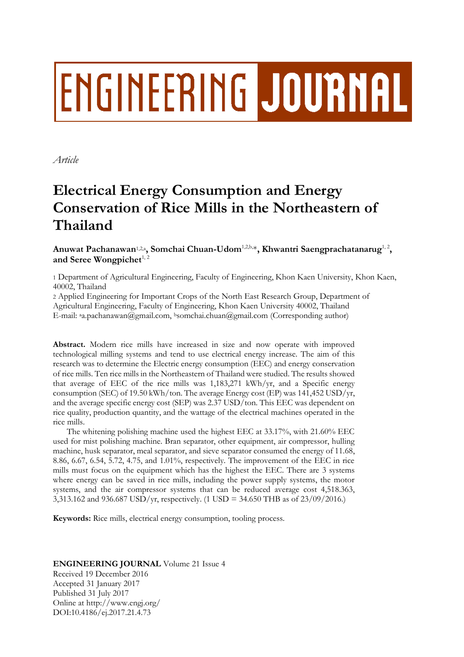# ENGINEERING JOURNAL

*Article*

# **Electrical Energy Consumption and Energy Conservation of Rice Mills in the Northeastern of Thailand**

Anuwat Pachanawan½.2, Somchai Chuan-Udom½.b.,\*, Khwantri Saengprachatanarug½, and Seree Wongpichet<sup>1, 2</sup>

1 Department of Agricultural Engineering, Faculty of Engineering, Khon Kaen University, Khon Kaen, 40002, Thailand

2 Applied Engineering for Important Crops of the North East Research Group, Department of Agricultural Engineering, Faculty of Engineering, Khon Kaen University 40002, Thailand E-mail: <sup>a</sup>a.pachanawan@gmail.com, <sup>b</sup>somchai.chuan@gmail.com (Corresponding author)

**Abstract.** Modern rice mills have increased in size and now operate with improved technological milling systems and tend to use electrical energy increase. The aim of this research was to determine the Electric energy consumption (EEC) and energy conservation of rice mills. Ten rice mills in the Northeastern of Thailand were studied. The results showed that average of EEC of the rice mills was 1,183,271 kWh/yr, and a Specific energy consumption (SEC) of 19.50 kWh/ton. The average Energy cost (EP) was 141,452 USD/yr, and the average specific energy cost (SEP) was 2.37 USD/ton. This EEC was dependent on rice quality, production quantity, and the wattage of the electrical machines operated in the rice mills.

The whitening polishing machine used the highest EEC at 33.17%, with 21.60% EEC used for mist polishing machine. Bran separator, other equipment, air compressor, hulling machine, husk separator, meal separator, and sieve separator consumed the energy of 11.68, 8.86, 6.67, 6.54, 5.72, 4.75, and 1.01%, respectively. The improvement of the EEC in rice mills must focus on the equipment which has the highest the EEC. There are 3 systems where energy can be saved in rice mills, including the power supply systems, the motor systems, and the air compressor systems that can be reduced average cost 4,518.363, 3,313.162 and 936.687 USD/yr, respectively. (1 USD = 34.650 THB as of 23/09/2016.)

**Keywords:** Rice mills, electrical energy consumption, tooling process.

### **ENGINEERING JOURNAL** Volume 21 Issue 4

Received 19 December 2016 Accepted 31 January 2017 Published 31 July 2017 Online at http://www.engj.org/ DOI:10.4186/ej.2017.21.4.73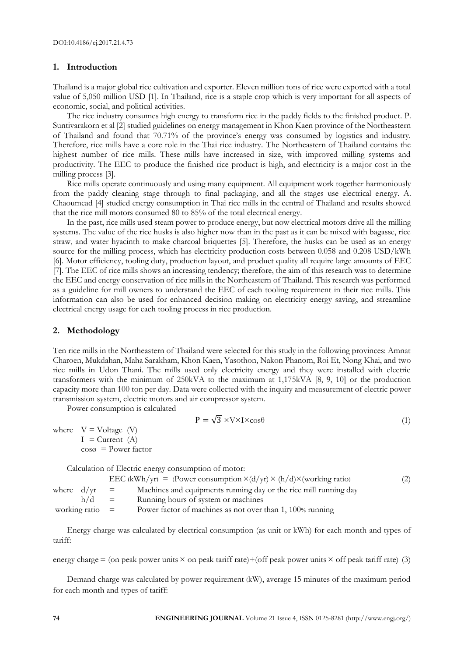#### **1. Introduction**

Thailand is a major global rice cultivation and exporter. Eleven million tons of rice were exported with a total value of 5,050 million USD [1]. In Thailand, rice is a staple crop which is very important for all aspects of economic, social, and political activities.

The rice industry consumes high energy to transform rice in the paddy fields to the finished product. P. Suntivarakorn et al [2] studied guidelines on energy management in Khon Kaen province of the Northeastern of Thailand and found that 70.71% of the province's energy was consumed by logistics and industry. Therefore, rice mills have a core role in the Thai rice industry. The Northeastern of Thailand contains the highest number of rice mills. These mills have increased in size, with improved milling systems and productivity. The EEC to produce the finished rice product is high, and electricity is a major cost in the milling process [3].

Rice mills operate continuously and using many equipment. All equipment work together harmoniously from the paddy cleaning stage through to final packaging, and all the stages use electrical energy. A. Chaoumead [4] studied energy consumption in Thai rice mills in the central of Thailand and results showed that the rice mill motors consumed 80 to 85% of the total electrical energy.

In the past, rice mills used steam power to produce energy, but now electrical motors drive all the milling systems. The value of the rice husks is also higher now than in the past as it can be mixed with bagasse, rice straw, and water hyacinth to make charcoal briquettes [5]. Therefore, the husks can be used as an energy source for the milling process, which has electricity production costs between 0.058 and 0.208 USD/kWh [6]. Motor efficiency, tooling duty, production layout, and product quality all require large amounts of EEC [7]. The EEC of rice mills shows an increasing tendency; therefore, the aim of this research was to determine the EEC and energy conservation of rice mills in the Northeastern of Thailand. This research was performed as a guideline for mill owners to understand the EEC of each tooling requirement in their rice mills. This information can also be used for enhanced decision making on electricity energy saving, and streamline electrical energy usage for each tooling process in rice production.

#### **2. Methodology**

Ten rice mills in the Northeastern of Thailand were selected for this study in the following provinces: Amnat Charoen, Mukdahan, Maha Sarakham, Khon Kaen, Yasothon, Nakon Phanom, Roi Et, Nong Khai, and two rice mills in Udon Thani. The mills used only electricity energy and they were installed with electric transformers with the minimum of 250kVA to the maximum at 1,175kVA [8, 9, 10] or the production capacity more than 100 ton per day. Data were collected with the inquiry and measurement of electric power transmission system, electric motors and air compressor system.

Power consumption is calculated

$$
P = \sqrt{3} \times V \times I \times \cos \theta \tag{1}
$$

where  $V = Voltage (V)$  $I =$ Current  $(A)$  $\cos \theta$  = Power factor

Calculation of Electric energy consumption of motor:

|                   | EEC (kWh/yr) = (Power consumption $\times$ (d/yr) $\times$ (h/d) $\times$ (working ratio) | (2) |
|-------------------|-------------------------------------------------------------------------------------------|-----|
| where $d/yr =$    | Machines and equipments running day or the rice mill running day                          |     |
| $h/d =$           | Running hours of system or machines                                                       |     |
| working ratio $=$ | Power factor of machines as not over than 1, 100% running                                 |     |

Energy charge was calculated by electrical consumption (as unit or kWh) for each month and types of tariff:

energy charge  $=$  (on peak power units  $\times$  on peak tariff rate)+(off peak power units  $\times$  off peak tariff rate) (3)

Demand charge was calculated by power requirement (kW), average 15 minutes of the maximum period for each month and types of tariff: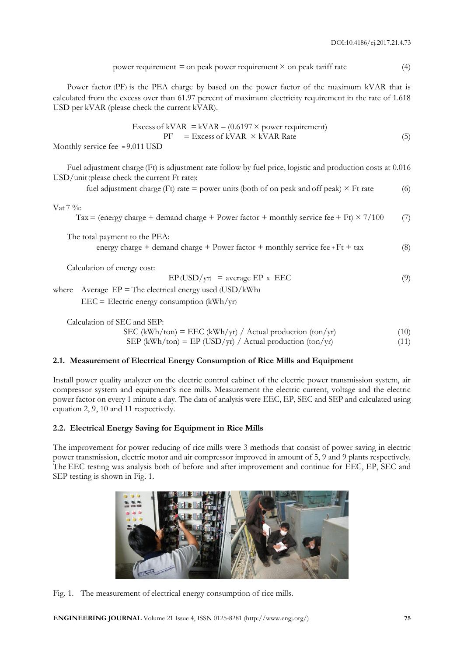power requirement = on peak power requirement 
$$
\times
$$
 on peak tariff rate (4)

Power factor (PF) is the PEA charge by based on the power factor of the maximum kVAR that is calculated from the excess over than 61.97 percent of maximum electricity requirement in the rate of 1.618 USD per kVAR (please check the current kVAR).

$$
Excess of kVAR = kVAR - (0.6197 \times power requirement)
$$
  
PF = Excess of kVAR × kVAR Rate (5)

Monthly service fee = 9.011 USD

Fuel adjustment charge (Ft) is adjustment rate follow by fuel price, logistic and production costs at 0.016 USD/unit (please check the current Ft rate):

fuel adjustment charge (Ft) rate = power units (both of on peak and off peak)  $\times$  Ft rate (6)

Vat 7 %:

Tax = (energy charge + demand charge + Power factor + monthly service fee + Ft)  $\times$  7/100 (7)

The total payment to the PEA:

energy charge + demand charge + Power factor + monthly service fee +  $Ft$  + tax (8)

Calculation of energy cost:

 $EP (USD/yr) = average EP x EEC$  (9)

where Average  $EP = The electrical energy used (USD/kWh)$  $EEC =$  Electric energy consumption  $(kWh/yr)$ 

Calculation of SEC and SEP:

$$
SEC (kWh/ton) = EEC (kWh/yr) / Actual production (ton/yr)
$$
\n(10)

SEP (kWh/ton) = EP (USD/yr) / Actual production (ton/yr) (11)

#### **2.1. Measurement of Electrical Energy Consumption of Rice Mills and Equipment**

Install power quality analyzer on the electric control cabinet of the electric power transmission system, air compressor system and equipment's rice mills. Measurement the electric current, voltage and the electric power factor on every 1 minute a day. The data of analysis were EEC, EP, SEC and SEP and calculated using equation 2, 9, 10 and 11 respectively.

#### **2.2. Electrical Energy Saving for Equipment in Rice Mills**

The improvement for power reducing of rice mills were 3 methods that consist of power saving in electric power transmission, electric motor and air compressor improved in amount of 5, 9 and 9 plants respectively. The EEC testing was analysis both of before and after improvement and continue for EEC, EP, SEC and SEP testing is shown in Fig. 1.



Fig. 1. The measurement of electrical energy consumption of rice mills.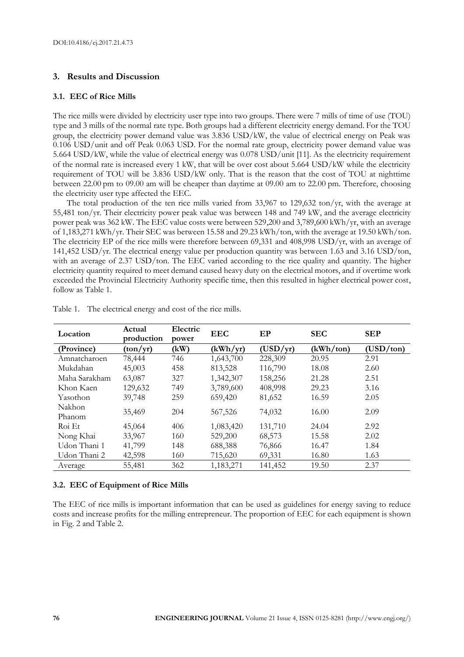#### **3. Results and Discussion**

#### **3.1. EEC of Rice Mills**

The rice mills were divided by electricity user type into two groups. There were 7 mills of time of use (TOU) type and 3 mills of the normal rate type. Both groups had a different electricity energy demand. For the TOU group, the electricity power demand value was 3.836 USD/kW, the value of electrical energy on Peak was 0.106 USD/unit and off Peak 0.063 USD. For the normal rate group, electricity power demand value was 5.664 USD/kW, while the value of electrical energy was 0.078 USD/unit [11]. As the electricity requirement of the normal rate is increased every 1 kW, that will be over cost about  $5.664 \text{ USD/kW}$  while the electricity requirement of TOU will be 3.836 USD/kW only. That is the reason that the cost of TOU at nighttime between 22.00 pm to 09.00 am will be cheaper than daytime at 09.00 am to 22.00 pm. Therefore, choosing the electricity user type affected the EEC.

The total production of the ten rice mills varied from 33,967 to 129,632 ton/yr, with the average at 55,481 ton/yr. Their electricity power peak value was between 148 and 749 kW, and the average electricity power peak was 362 kW. The EEC value costs were between 529,200 and 3,789,600 kWh/yr, with an average of 1,183,271 kWh/yr. Their SEC was between 15.58 and 29.23 kWh/ton, with the average at 19.50 kWh/ton. The electricity EP of the rice mills were therefore between 69,331 and 408,998 USD/yr, with an average of 141,452 USD/yr. The electrical energy value per production quantity was between 1.63 and 3.16 USD/ton, with an average of 2.37 USD/ton. The EEC varied according to the rice quality and quantity. The higher electricity quantity required to meet demand caused heavy duty on the electrical motors, and if overtime work exceeded the Provincial Electricity Authority specific time, then this resulted in higher electrical power cost, follow as Table 1.

| Location         | Actual<br>production | Electric<br>power | <b>EEC</b> | EP       | <b>SEC</b> | <b>SEP</b> |
|------------------|----------------------|-------------------|------------|----------|------------|------------|
| (Province)       | (ton/yr)             | (kW)              | (kWh/yr)   | (USD/yr) | (kWh/ton)  | (USD/ton)  |
| Amnatcharoen     | 78,444               | 746               | 1,643,700  | 228,309  | 20.95      | 2.91       |
| Mukdahan         | 45,003               | 458               | 813,528    | 116,790  | 18.08      | 2.60       |
| Maha Sarakham    | 63,087               | 327               | 1,342,307  | 158,256  | 21.28      | 2.51       |
| Khon Kaen        | 129,632              | 749               | 3,789,600  | 408,998  | 29.23      | 3.16       |
| Yasothon         | 39,748               | 259               | 659,420    | 81,652   | 16.59      | 2.05       |
| Nakhon<br>Phanom | 35,469               | 204               | 567,526    | 74,032   | 16.00      | 2.09       |
| Roi Et           | 45,064               | 406               | 1,083,420  | 131,710  | 24.04      | 2.92       |
| Nong Khai        | 33,967               | 160               | 529,200    | 68,573   | 15.58      | 2.02       |
| Udon Thani 1     | 41,799               | 148               | 688,388    | 76,866   | 16.47      | 1.84       |
| Udon Thani 2     | 42,598               | 160               | 715,620    | 69,331   | 16.80      | 1.63       |
| Average          | 55,481               | 362               | 1,183,271  | 141,452  | 19.50      | 2.37       |

Table 1. The electrical energy and cost of the rice mills.

#### **3.2. EEC of Equipment of Rice Mills**

The EEC of rice mills is important information that can be used as guidelines for energy saving to reduce costs and increase profits for the milling entrepreneur. The proportion of EEC for each equipment is shown in Fig. 2 and Table 2.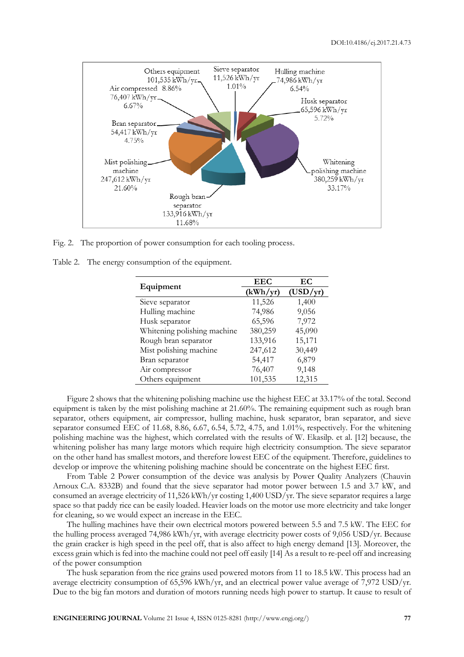

Fig. 2. The proportion of power consumption for each tooling process.

Table 2. The energy consumption of the equipment.

|                             | <b>EEC</b> | EC       |
|-----------------------------|------------|----------|
| Equipment                   | (kWh/yr)   | (USD/yr) |
| Sieve separator             | 11,526     | 1,400    |
| Hulling machine             | 74,986     | 9,056    |
| Husk separator              | 65,596     | 7,972    |
| Whitening polishing machine | 380,259    | 45,090   |
| Rough bran separator        | 133,916    | 15,171   |
| Mist polishing machine      | 247,612    | 30,449   |
| Bran separator              | 54,417     | 6,879    |
| Air compressor              | 76,407     | 9,148    |
| Others equipment            | 101,535    | 12,315   |

Figure 2 shows that the whitening polishing machine use the highest EEC at 33.17% of the total. Second equipment is taken by the mist polishing machine at 21.60%. The remaining equipment such as rough bran separator, others equipment, air compressor, hulling machine, husk separator, bran separator, and sieve separator consumed EEC of 11.68, 8.86, 6.67, 6.54, 5.72, 4.75, and 1.01%, respectively. For the whitening polishing machine was the highest, which correlated with the results of W. Ekasilp. et al. [12] because, the whitening polisher has many large motors which require high electricity consumption. The sieve separator on the other hand has smallest motors, and therefore lowest EEC of the equipment. Therefore, guidelines to develop or improve the whitening polishing machine should be concentrate on the highest EEC first.

From Table 2 Power consumption of the device was analysis by Power Quality Analyzers (Chauvin Arnoux C.A. 8332B) and found that the sieve separator had motor power between 1.5 and 3.7 kW, and consumed an average electricity of 11,526 kWh/yr costing 1,400 USD/yr. The sieve separator requires a large space so that paddy rice can be easily loaded. Heavier loads on the motor use more electricity and take longer for cleaning, so we would expect an increase in the EEC.

The hulling machines have their own electrical motors powered between 5.5 and 7.5 kW. The EEC for the hulling process averaged 74,986 kWh/yr, with average electricity power costs of 9,056 USD/yr. Because the grain cracker is high speed in the peel off, that is also affect to high energy demand [13]. Moreover, the excess grain which is fed into the machine could not peel off easily [14] As a result to re-peel off and increasing of the power consumption

The husk separation from the rice grains used powered motors from 11 to 18.5 kW. This process had an average electricity consumption of 65,596 kWh/yr, and an electrical power value average of 7,972 USD/yr. Due to the big fan motors and duration of motors running needs high power to startup. It cause to result of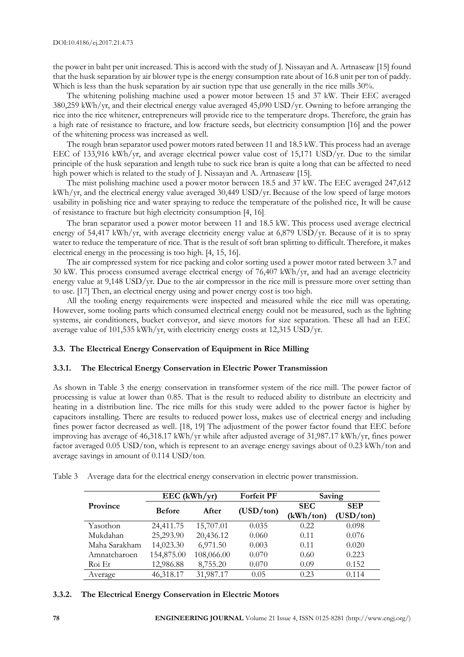the power in baht per unit increased. This is accord with the study of J. Nissayan and A. Artnaseaw [15] found that the husk separation by air blower type is the energy consumption rate about of 16.8 unit per ton of paddy. Which is less than the husk separation by air suction type that use generally in the rice mills 30%.

The whitening polishing machine used a power motor between 15 and 37 kW. Their EEC averaged 380,259 kWh/yr, and their electrical energy value averaged 45,090 USD/yr. Owning to before arranging the rice into the rice whitener, entrepreneurs will provide rice to the temperature drops. Therefore, the grain has a high rate of resistance to fracture, and low fracture seeds, but electricity consumption [16] and the power of the whitening process was increased as well.

The rough bran separator used power motors rated between 11 and 18.5 kW. This process had an average EEC of 133,916 kWh/yr, and average electrical power value cost of 15,171 USD/yr. Due to the similar principle of the husk separation and length tube to suck rice bran is quite a long that can be affected to need high power which is related to the study of J. Nissayan and A. Artnaseaw [15].

The mist polishing machine used a power motor between 18.5 and 37 kW. The EEC averaged 247,612 kWh/yr, and the electrical energy value averaged 30,449 USD/yr. Because of the low speed of large motors usability in polishing rice and water spraying to reduce the temperature of the polished rice, It will be cause of resistance to fracture but high electricity consumption [4, 16].

The bran separator used a power motor between 11 and 18.5 kW. This process used average electrical energy of 54,417 kWh/yr, with average electricity energy value at 6,879 USD/yr. Because of it is to spray water to reduce the temperature of rice. That is the result of soft bran splitting to difficult. Therefore, it makes electrical energy in the processing is too high. [4, 15, 16].

The air compressed system for rice packing and color sorting used a power motor rated between 3.7 and 30 kW. This process consumed average electrical energy of 76,407 kWh/yr, and had an average electricity energy value at 9,148 USD/yr. Due to the air compressor in the rice mill is pressure more over setting than to use. [17] Then, an electrical energy using and power energy cost is too high.

All the tooling energy requirements were inspected and measured while the rice mill was operating. However, some tooling parts which consumed electrical energy could not be measured, such as the lighting systems, air conditioners, bucket conveyor, and sieve motors for size separation. These all had an EEC average value of 101,535 kWh/yr, with electricity energy costs at 12,315 USD/yr.

#### **3.3. The Electrical Energy Conservation of Equipment in Rice Milling**

#### **3.3.1. The Electrical Energy Conservation in Electric Power Transmission**

As shown in Table 3 the energy conservation in transformer system of the rice mill. The power factor of processing is value at lower than 0.85. That is the result to reduced ability to distribute an electricity and heating in a distribution line. The rice mills for this study were added to the power factor is higher by capacitors installing. There are results to reduced power loss, makes use of electrical energy and including fines power factor decreased as well. [18, 19] The adjustment of the power factor found that EEC before improving has average of 46,318.17 kWh/yr while after adjusted average of 31,987.17 kWh/yr, fines power factor averaged 0.05 USD/ton, which is represent to an average energy savings about of 0.23 kWh/ton and average savings in amount of 0.114 USD/ton.

Table 3 Average data for the electrical energy conservation in electric power transmission.

|               | $EEC$ (kWh/yr) |            | <b>Forfeit PF</b> | Saving                  |                         |
|---------------|----------------|------------|-------------------|-------------------------|-------------------------|
| Province      | <b>Before</b>  | After      | (USD/ton)         | <b>SEC</b><br>(kWh/ton) | <b>SEP</b><br>(USD/ton) |
| Yasothon      | 24,411.75      | 15,707.01  | 0.035             | 0.22                    | 0.098                   |
| Mukdahan      | 25,293.90      | 20,436.12  | 0.060             | 0.11                    | 0.076                   |
| Maha Sarakham | 14,023.30      | 6,971.50   | 0.003             | 0.11                    | 0.020                   |
| Amnatcharoen  | 154,875.00     | 108,066.00 | 0.070             | 0.60                    | 0.223                   |
| Roi Et        | 12,986.88      | 8,755.20   | 0.070             | 0.09                    | 0.152                   |
| Average       | 46,318.17      | 31,987.17  | 0.05              | 0.23                    | 0.114                   |

#### **3.3.2. The Electrical Energy Conservation in Electric Motors**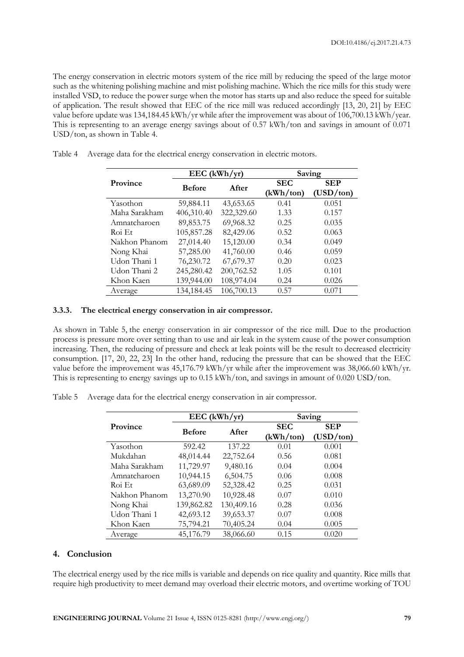The energy conservation in electric motors system of the rice mill by reducing the speed of the large motor such as the whitening polishing machine and mist polishing machine. Which the rice mills for this study were installed VSD, to reduce the power surge when the motor has starts up and also reduce the speed for suitable of application. The result showed that EEC of the rice mill was reduced accordingly [13, 20, 21] by EEC value before update was 134,184.45 kWh/yr while after the improvement was about of 106,700.13 kWh/year. This is representing to an average energy savings about of 0.57 kWh/ton and savings in amount of 0.071 USD/ton, as shown in Table 4.

|               | $EEC$ (kWh/yr) |            | Saving     |            |  |
|---------------|----------------|------------|------------|------------|--|
| Province      | <b>Before</b>  | After      | <b>SEC</b> | <b>SEP</b> |  |
|               |                |            | (kWh/ton)  | (USD/ton)  |  |
| Yasothon      | 59,884.11      | 43,653.65  | 0.41       | 0.051      |  |
| Maha Sarakham | 406,310.40     | 322,329.60 | 1.33       | 0.157      |  |
| Amnatcharoen  | 89,853.75      | 69,968.32  | 0.25       | 0.035      |  |
| Roi Et        | 105,857.28     | 82,429.06  | 0.52       | 0.063      |  |
| Nakhon Phanom | 27,014.40      | 15,120.00  | 0.34       | 0.049      |  |
| Nong Khai     | 57,285.00      | 41,760.00  | 0.46       | 0.059      |  |
| Udon Thani 1  | 76,230.72      | 67,679.37  | 0.20       | 0.023      |  |
| Udon Thani 2  | 245,280.42     | 200,762.52 | 1.05       | 0.101      |  |
| Khon Kaen     | 139,944.00     | 108,974.04 | 0.24       | 0.026      |  |
| Average       | 134,184.45     | 106,700.13 | 0.57       | 0.071      |  |

Table 4 Average data for the electrical energy conservation in electric motors.

#### **3.3.3. The electrical energy conservation in air compressor.**

As shown in Table 5, the energy conservation in air compressor of the rice mill. Due to the production process is pressure more over setting than to use and air leak in the system cause of the power consumption increasing. Then, the reducing of pressure and check at leak points will be the result to decreased electricity consumption. [17, 20, 22, 23] In the other hand, reducing the pressure that can be showed that the EEC value before the improvement was 45,176.79 kWh/yr while after the improvement was 38,066.60 kWh/yr. This is representing to energy savings up to 0.15 kWh/ton, and savings in amount of 0.020 USD/ton.

Table 5 Average data for the electrical energy conservation in air compressor.

|               | $EEC$ (kWh/yr) |            | Saving     |            |  |
|---------------|----------------|------------|------------|------------|--|
| Province      | <b>Before</b>  | After      | <b>SEC</b> | <b>SEP</b> |  |
|               |                |            | (kWh/ton)  | (USD/ton)  |  |
| Yasothon      | 592.42         | 137.22     | 0.01       | 0.001      |  |
| Mukdahan      | 48,014.44      | 22,752.64  | 0.56       | 0.081      |  |
| Maha Sarakham | 11,729.97      | 9,480.16   | 0.04       | 0.004      |  |
| Amnatcharoen  | 10,944.15      | 6,504.75   | 0.06       | 0.008      |  |
| Roi Et        | 63,689.09      | 52,328.42  | 0.25       | 0.031      |  |
| Nakhon Phanom | 13,270.90      | 10,928.48  | 0.07       | 0.010      |  |
| Nong Khai     | 139,862.82     | 130,409.16 | 0.28       | 0.036      |  |
| Udon Thani 1  | 42,693.12      | 39,653.37  | 0.07       | 0.008      |  |
| Khon Kaen     | 75,794.21      | 70,405.24  | 0.04       | 0.005      |  |
| Average       | 45,176.79      | 38,066.60  | 0.15       | 0.020      |  |

#### **4. Conclusion**

The electrical energy used by the rice mills is variable and depends on rice quality and quantity. Rice mills that require high productivity to meet demand may overload their electric motors, and overtime working of TOU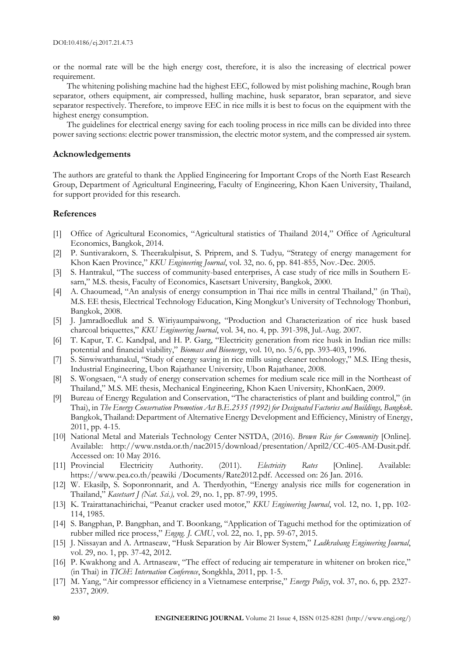or the normal rate will be the high energy cost, therefore, it is also the increasing of electrical power requirement.

The whitening polishing machine had the highest EEC, followed by mist polishing machine, Rough bran separator, others equipment, air compressed, hulling machine, husk separator, bran separator, and sieve separator respectively. Therefore, to improve EEC in rice mills it is best to focus on the equipment with the highest energy consumption.

The guidelines for electrical energy saving for each tooling process in rice mills can be divided into three power saving sections: electric power transmission, the electric motor system, and the compressed air system.

#### **Acknowledgements**

The authors are grateful to thank the Applied Engineering for Important Crops of the North East Research Group, Department of Agricultural Engineering, Faculty of Engineering, Khon Kaen University, Thailand, for support provided for this research.

#### **References**

- [1] Office of Agricultural Economics, "Agricultural statistics of Thailand 2014," Office of Agricultural Economics, Bangkok, 2014.
- [2] P. Suntivarakorn, S. Theerakulpisut, S. Priprem, and S. Tudyu*,* "Strategy of energy management for Khon Kaen Province," *KKU Engineering Journal*, vol. 32, no. 6, pp. 841-855, Nov.-Dec. 2005.
- [3] S. Hantrakul, "The success of community-based enterprises, A case study of rice mills in Southern Esarn," M.S. thesis, Faculty of Economics, Kasetsart University, Bangkok, 2000.
- [4] A. Chaoumead, "An analysis of energy consumption in Thai rice mills in central Thailand," (in Thai), M.S. EE thesis, Electrical Technology Education, King Mongkut's University of Technology Thonburi, Bangkok, 2008.
- [5] J. Jamradloedluk and S. Wiriyaumpaiwong, "Production and Characterization of rice husk based charcoal briquettes," *KKU Engineering Journal*, vol. 34, no. 4, pp. 391-398, Jul.-Aug. 2007.
- [6] T. Kapur, T. C. Kandpal, and H. P. Garg, "Electricity generation from rice husk in Indian rice mills: potential and financial viability," *Biomass and Bioenergy*, vol. 10, no. 5/6, pp. 393-403, 1996.
- [7] S. Sinwiwatthanakul, "Study of energy saving in rice mills using cleaner technology," M.S. IEng thesis, Industrial Engineering, Ubon Rajathanee University, Ubon Rajathanee, 2008.
- [8] S. Wongsaen, "A study of energy conservation schemes for medium scale rice mill in the Northeast of Thailand," M.S. ME thesis, Mechanical Engineering, Khon Kaen University, KhonKaen, 2009.
- [9] Bureau of Energy Regulation and Conservation, "The characteristics of plant and building control," (in Thai), in *The Energy Conservation Promotion Act B.E.2535 (1992) for Designated Factories and Buildings, Bangkok*. Bangkok, Thailand: Department of Alternative Energy Development and Efficiency, Ministry of Energy, 2011, pp. 4-15.
- [10] National Metal and Materials Technology Center NSTDA, (2016). *Brown Rice for Community* [Online]. Available: http://www.nstda.or.th/nac2015/download/presentation/April2/CC-405-AM-Dusit.pdf. Accessed on: 10 May 2016.
- [11] Provincial Electricity Authority. (2011). *Electricity Rates* [Online]. Available: https://www.pea.co.th/peawiki /Documents/Rate2012.pdf. Accessed on: 26 Jan. 2016.
- [12] W. Ekasilp, S. Soponronnarit, and A. Therdyothin, "Energy analysis rice mills for cogeneration in Thailand," *Kasetsart J (Nat. Sci.),* vol. 29, no. 1, pp. 87-99, 1995.
- [13] K. Trairattanachirichai, "Peanut cracker used motor," *KKU Engineering Journal*, vol. 12, no. 1, pp. 102- 114, 1985.
- [14] S. Bangphan, P. Bangphan, and T. Boonkang, "Application of Taguchi method for the optimization of rubber milled rice process," *Engng. J. CMU*, vol. 22, no. 1, pp. 59-67, 2015.
- [15] J. Nissayan and A. Artnaseaw, "Husk Separation by Air Blower System," *Ladkrabang Engineering Journal*, vol. 29, no. 1, pp. 37-42, 2012.
- [16] P. Kwakhong and A. Artnaseaw, "The effect of reducing air temperature in whitener on broken rice," (in Thai) in *TIChE Internation Conference*, Songkhla, 2011, pp. 1-5.
- [17] M. Yang, "Air compressor efficiency in a Vietnamese enterprise," *Energy Policy*, vol. 37, no. 6, pp. 2327- 2337, 2009.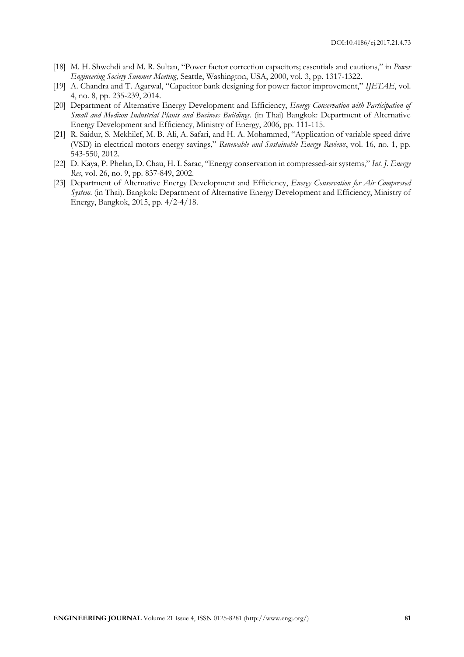- [18] M. H. Shwehdi and M. R. Sultan, "Power factor correction capacitors; essentials and cautions," in *Power Engineering Society Summer Meeting*, Seattle, Washington, USA, 2000, vol. 3, pp. 1317-1322.
- [19] A. Chandra and T. Agarwal, "Capacitor bank designing for power factor improvement," *IJETAE*, vol. 4, no. 8, pp. 235-239, 2014.
- [20] Department of Alternative Energy Development and Efficiency, *Energy Conservation with Participation of Small and Medium Industrial Plants and Business Buildings*. (in Thai) Bangkok: Department of Alternative Energy Development and Efficiency, Ministry of Energy, 2006, pp. 111-115.
- [21] R. Saidur, S. Mekhilef, M. B. Ali, A. Safari, and H. A. Mohammed, "Application of variable speed drive (VSD) in electrical motors energy savings," *Renewable and Sustainable Energy Reviews*, vol. 16, no. 1, pp. 543-550, 2012.
- [22] D. Kaya, P. Phelan, D. Chau, H. I. Sarac, "Energy conservation in compressed-air systems," *Int. J. Energy Res*, vol. 26, no. 9, pp. 837-849, 2002.
- [23] Department of Alternative Energy Development and Efficiency, *Energy Conservation for Air Compressed System*. (in Thai). Bangkok: Department of Alternative Energy Development and Efficiency, Ministry of Energy, Bangkok, 2015, pp. 4/2-4/18.